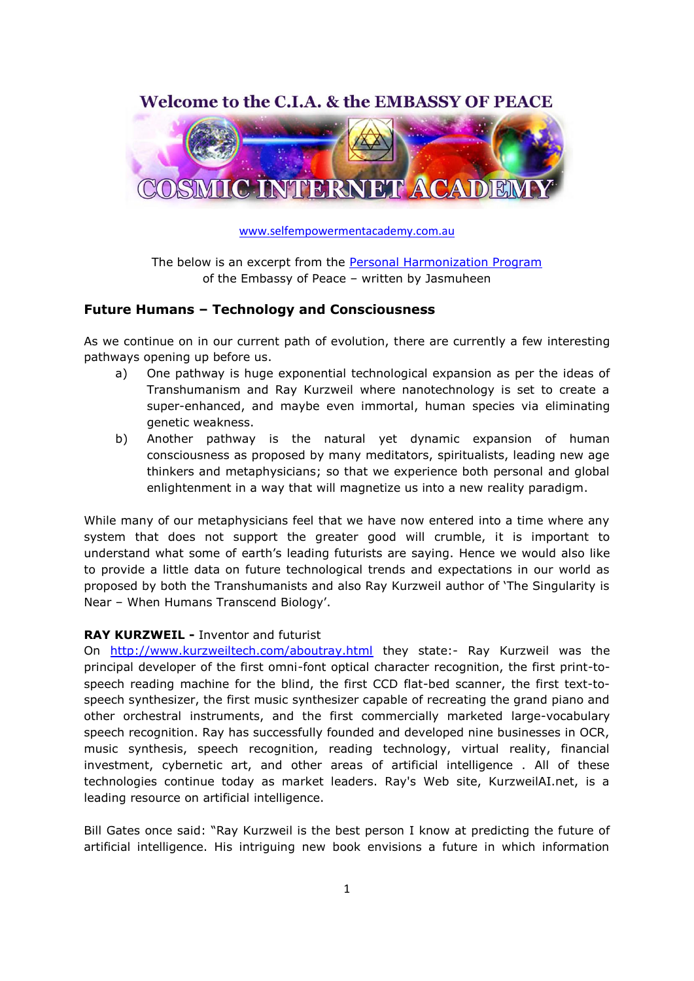Welcome to the C.L.A. & the EMBASSY OF PEACE



[www.selfempowermentacademy.com.au](http://www.selfempowermentacademy.com.au/)

The below is an excerpt from the [Personal Harmonization Program](http://cia.ey3host.com/wp-content/uploads/2011/06/EP-PERSONAL-HARMONIZATION-PROGRAM-2010-WEB.pdf) of the Embassy of Peace – written by Jasmuheen

## **Future Humans – Technology and Consciousness**

As we continue on in our current path of evolution, there are currently a few interesting pathways opening up before us.

- a) One pathway is huge exponential technological expansion as per the ideas of Transhumanism and Ray Kurzweil where nanotechnology is set to create a super-enhanced, and maybe even immortal, human species via eliminating genetic weakness.
- b) Another pathway is the natural yet dynamic expansion of human consciousness as proposed by many meditators, spiritualists, leading new age thinkers and metaphysicians; so that we experience both personal and global enlightenment in a way that will magnetize us into a new reality paradigm.

While many of our metaphysicians feel that we have now entered into a time where any system that does not support the greater good will crumble, it is important to understand what some of earth's leading futurists are saying. Hence we would also like to provide a little data on future technological trends and expectations in our world as proposed by both the Transhumanists and also Ray Kurzweil author of ‗The Singularity is Near – When Humans Transcend Biology'.

## **RAY KURZWEIL -** Inventor and futurist

On <http://www.kurzweiltech.com/aboutray.html> they state:- Ray Kurzweil was the principal developer of the first omni-font optical character recognition, the first print-tospeech reading machine for the blind, the first CCD flat-bed scanner, the first text-tospeech synthesizer, the first music synthesizer capable of recreating the grand piano and other orchestral instruments, and the first commercially marketed large-vocabulary speech recognition. Ray has successfully founded and developed nine businesses in OCR, music synthesis, speech recognition, reading technology, virtual reality, financial investment, cybernetic art, and other areas of artificial intelligence . All of these technologies continue today as market leaders. Ray's Web site, KurzweilAI.net, is a leading resource on artificial intelligence.

Bill Gates once said: "Ray Kurzweil is the best person I know at predicting the future of artificial intelligence. His intriguing new book envisions a future in which information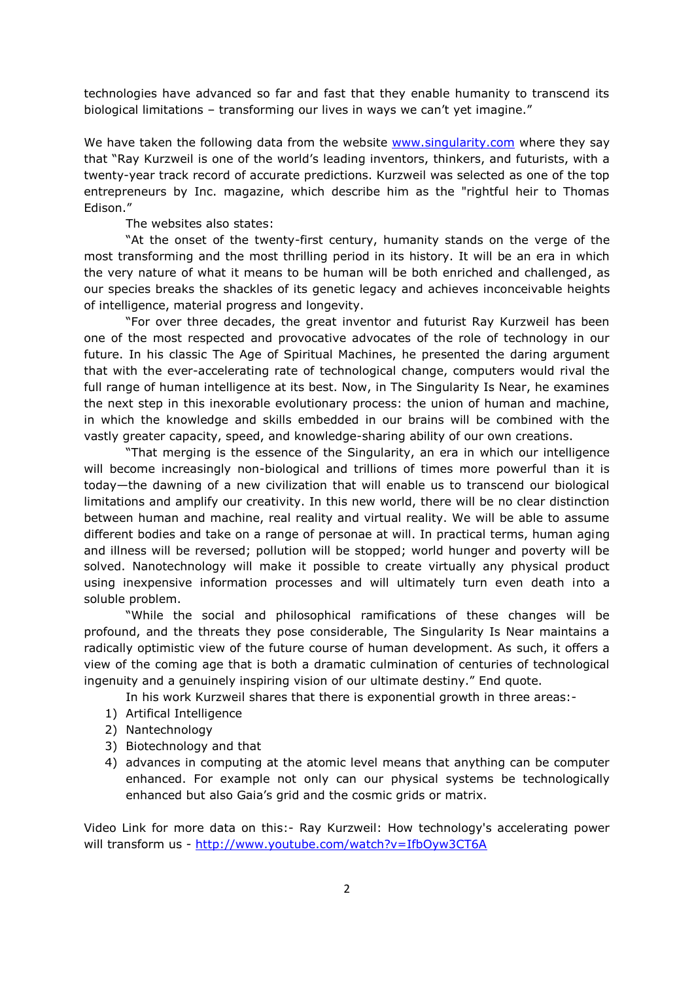technologies have advanced so far and fast that they enable humanity to transcend its biological limitations – transforming our lives in ways we can't yet imagine."

We have taken the following data from the website [www.singularity.com](http://www.singularity.com/) where they say that "Ray Kurzweil is one of the world's leading inventors, thinkers, and futurists, with a twenty-year track record of accurate predictions. Kurzweil was selected as one of the top entrepreneurs by Inc. magazine, which describe him as the "rightful heir to Thomas Edison."

The websites also states:

"At the onset of the twenty-first century, humanity stands on the verge of the most transforming and the most thrilling period in its history. It will be an era in which the very nature of what it means to be human will be both enriched and challenged, as our species breaks the shackles of its genetic legacy and achieves inconceivable heights of intelligence, material progress and longevity.

―For over three decades, the great inventor and futurist Ray Kurzweil has been one of the most respected and provocative advocates of the role of technology in our future. In his classic The Age of Spiritual Machines, he presented the daring argument that with the ever-accelerating rate of technological change, computers would rival the full range of human intelligence at its best. Now, in The Singularity Is Near, he examines the next step in this inexorable evolutionary process: the union of human and machine, in which the knowledge and skills embedded in our brains will be combined with the vastly greater capacity, speed, and knowledge-sharing ability of our own creations.

"That merging is the essence of the Singularity, an era in which our intelligence will become increasingly non-biological and trillions of times more powerful than it is today—the dawning of a new civilization that will enable us to transcend our biological limitations and amplify our creativity. In this new world, there will be no clear distinction between human and machine, real reality and virtual reality. We will be able to assume different bodies and take on a range of personae at will. In practical terms, human aging and illness will be reversed; pollution will be stopped; world hunger and poverty will be solved. Nanotechnology will make it possible to create virtually any physical product using inexpensive information processes and will ultimately turn even death into a soluble problem.

―While the social and philosophical ramifications of these changes will be profound, and the threats they pose considerable, The Singularity Is Near maintains a radically optimistic view of the future course of human development. As such, it offers a view of the coming age that is both a dramatic culmination of centuries of technological ingenuity and a genuinely inspiring vision of our ultimate destiny." End quote.

In his work Kurzweil shares that there is exponential growth in three areas:-

- 1) Artifical Intelligence
- 2) Nantechnology
- 3) Biotechnology and that
- 4) advances in computing at the atomic level means that anything can be computer enhanced. For example not only can our physical systems be technologically enhanced but also Gaia's grid and the cosmic grids or matrix.

Video Link for more data on this:- Ray Kurzweil: How technology's accelerating power will transform us - <http://www.youtube.com/watch?v=IfbOyw3CT6A>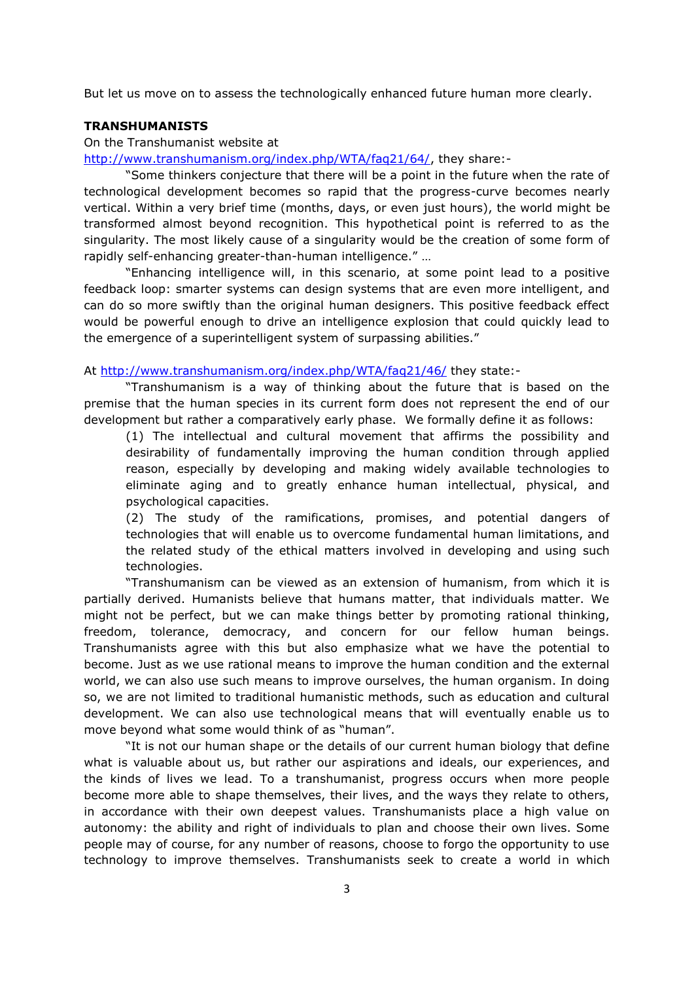But let us move on to assess the technologically enhanced future human more clearly.

## **TRANSHUMANISTS**

## On the Transhumanist website at

[http://www.transhumanism.org/index.php/WTA/faq21/64/,](http://www.transhumanism.org/index.php/WTA/faq21/64/) they share:-

"Some thinkers conjecture that there will be a point in the future when the rate of technological development becomes so rapid that the progress-curve becomes nearly vertical. Within a very brief time (months, days, or even just hours), the world might be transformed almost beyond recognition. This hypothetical point is referred to as the singularity. The most likely cause of a singularity would be the creation of some form of rapidly self-enhancing greater-than-human intelligence." ...

―Enhancing intelligence will, in this scenario, at some point lead to a positive feedback loop: smarter systems can design systems that are even more intelligent, and can do so more swiftly than the original human designers. This positive feedback effect would be powerful enough to drive an intelligence explosion that could quickly lead to the emergence of a superintelligent system of surpassing abilities."

At<http://www.transhumanism.org/index.php/WTA/faq21/46/> they state:-

―Transhumanism is a way of thinking about the future that is based on the premise that the human species in its current form does not represent the end of our development but rather a comparatively early phase. We formally define it as follows:

(1) The intellectual and cultural movement that affirms the possibility and desirability of fundamentally improving the human condition through applied reason, especially by developing and making widely available technologies to eliminate aging and to greatly enhance human intellectual, physical, and psychological capacities.

(2) The study of the ramifications, promises, and potential dangers of technologies that will enable us to overcome fundamental human limitations, and the related study of the ethical matters involved in developing and using such technologies.

―Transhumanism can be viewed as an extension of humanism, from which it is partially derived. Humanists believe that humans matter, that individuals matter. We might not be perfect, but we can make things better by promoting rational thinking, freedom, tolerance, democracy, and concern for our fellow human beings. Transhumanists agree with this but also emphasize what we have the potential to become. Just as we use rational means to improve the human condition and the external world, we can also use such means to improve ourselves, the human organism. In doing so, we are not limited to traditional humanistic methods, such as education and cultural development. We can also use technological means that will eventually enable us to move beyond what some would think of as "human".

"It is not our human shape or the details of our current human biology that define what is valuable about us, but rather our aspirations and ideals, our experiences, and the kinds of lives we lead. To a transhumanist, progress occurs when more people become more able to shape themselves, their lives, and the ways they relate to others, in accordance with their own deepest values. Transhumanists place a high value on autonomy: the ability and right of individuals to plan and choose their own lives. Some people may of course, for any number of reasons, choose to forgo the opportunity to use technology to improve themselves. Transhumanists seek to create a world in which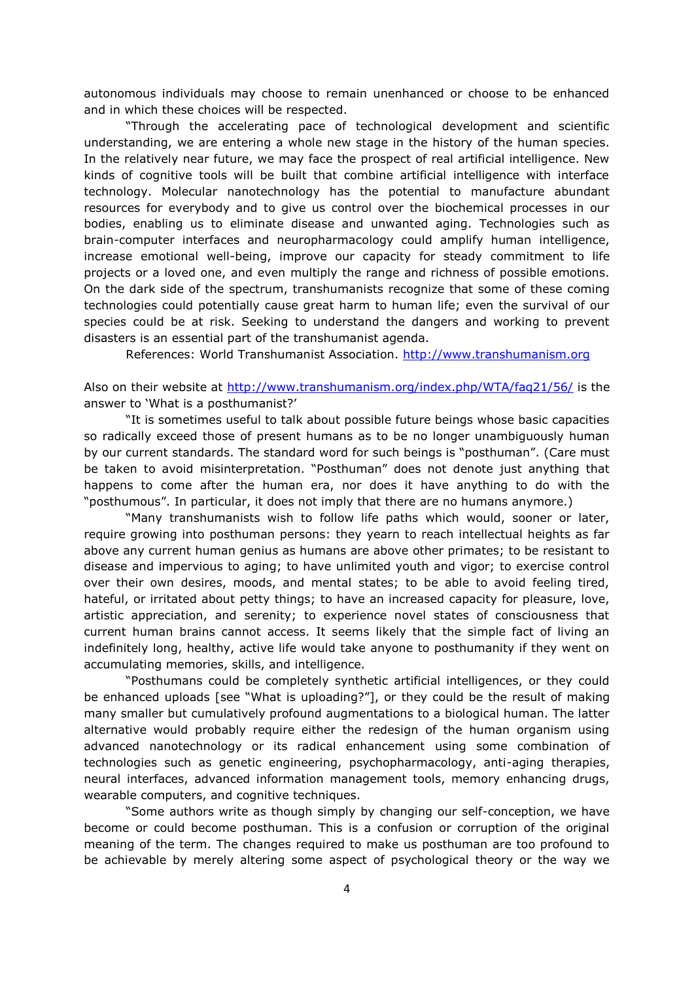autonomous individuals may choose to remain unenhanced or choose to be enhanced and in which these choices will be respected.

―Through the accelerating pace of technological development and scientific understanding, we are entering a whole new stage in the history of the human species. In the relatively near future, we may face the prospect of real artificial intelligence. New kinds of cognitive tools will be built that combine artificial intelligence with interface technology. Molecular nanotechnology has the potential to manufacture abundant resources for everybody and to give us control over the biochemical processes in our bodies, enabling us to eliminate disease and unwanted aging. Technologies such as brain-computer interfaces and neuropharmacology could amplify human intelligence, increase emotional well-being, improve our capacity for steady commitment to life projects or a loved one, and even multiply the range and richness of possible emotions. On the dark side of the spectrum, transhumanists recognize that some of these coming technologies could potentially cause great harm to human life; even the survival of our species could be at risk. Seeking to understand the dangers and working to prevent disasters is an essential part of the transhumanist agenda.

References: World Transhumanist Association. [http://www.transhumanism.org](http://www.transhumanism.org/)

Also on their website at<http://www.transhumanism.org/index.php/WTA/faq21/56/> is the answer to 'What is a posthumanist?'

"It is sometimes useful to talk about possible future beings whose basic capacities so radically exceed those of present humans as to be no longer unambiguously human by our current standards. The standard word for such beings is "posthuman". (Care must be taken to avoid misinterpretation. "Posthuman" does not denote just anything that happens to come after the human era, nor does it have anything to do with the "posthumous". In particular, it does not imply that there are no humans anymore.)

"Many transhumanists wish to follow life paths which would, sooner or later, require growing into posthuman persons: they yearn to reach intellectual heights as far above any current human genius as humans are above other primates; to be resistant to disease and impervious to aging; to have unlimited youth and vigor; to exercise control over their own desires, moods, and mental states; to be able to avoid feeling tired, hateful, or irritated about petty things; to have an increased capacity for pleasure, love, artistic appreciation, and serenity; to experience novel states of consciousness that current human brains cannot access. It seems likely that the simple fact of living an indefinitely long, healthy, active life would take anyone to posthumanity if they went on accumulating memories, skills, and intelligence.

"Posthumans could be completely synthetic artificial intelligences, or they could be enhanced uploads [see "What is uploading?"], or they could be the result of making many smaller but cumulatively profound augmentations to a biological human. The latter alternative would probably require either the redesign of the human organism using advanced nanotechnology or its radical enhancement using some combination of technologies such as genetic engineering, psychopharmacology, anti-aging therapies, neural interfaces, advanced information management tools, memory enhancing drugs, wearable computers, and cognitive techniques.

―Some authors write as though simply by changing our self-conception, we have become or could become posthuman. This is a confusion or corruption of the original meaning of the term. The changes required to make us posthuman are too profound to be achievable by merely altering some aspect of psychological theory or the way we